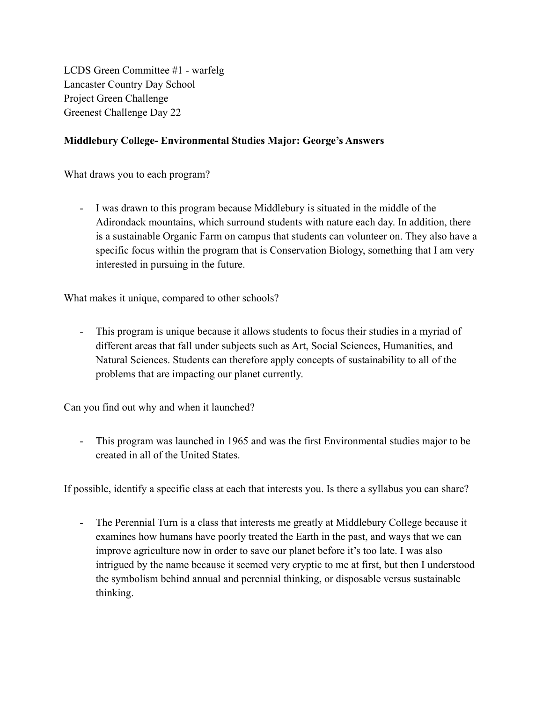LCDS Green Committee #1 - warfelg Lancaster Country Day School Project Green Challenge Greenest Challenge Day 22

## **Middlebury College- Environmental Studies Major: George's Answers**

What draws you to each program?

- I was drawn to this program because Middlebury is situated in the middle of the Adirondack mountains, which surround students with nature each day. In addition, there is a sustainable Organic Farm on campus that students can volunteer on. They also have a specific focus within the program that is Conservation Biology, something that I am very interested in pursuing in the future.

What makes it unique, compared to other schools?

- This program is unique because it allows students to focus their studies in a myriad of different areas that fall under subjects such as Art, Social Sciences, Humanities, and Natural Sciences. Students can therefore apply concepts of sustainability to all of the problems that are impacting our planet currently.

Can you find out why and when it launched?

- This program was launched in 1965 and was the first Environmental studies major to be created in all of the United States.

If possible, identify a specific class at each that interests you. Is there a syllabus you can share?

- The Perennial Turn is a class that interests me greatly at Middlebury College because it examines how humans have poorly treated the Earth in the past, and ways that we can improve agriculture now in order to save our planet before it's too late. I was also intrigued by the name because it seemed very cryptic to me at first, but then I understood the symbolism behind annual and perennial thinking, or disposable versus sustainable thinking.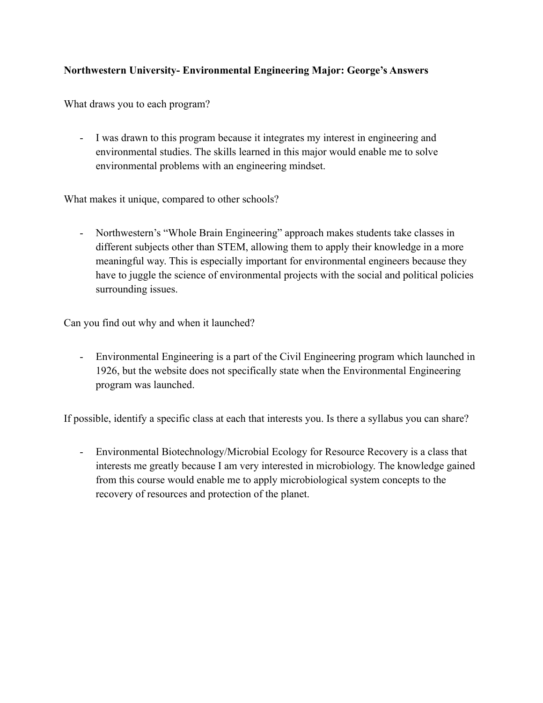# **Northwestern University- Environmental Engineering Major: George's Answers**

What draws you to each program?

- I was drawn to this program because it integrates my interest in engineering and environmental studies. The skills learned in this major would enable me to solve environmental problems with an engineering mindset.

What makes it unique, compared to other schools?

- Northwestern's "Whole Brain Engineering" approach makes students take classes in different subjects other than STEM, allowing them to apply their knowledge in a more meaningful way. This is especially important for environmental engineers because they have to juggle the science of environmental projects with the social and political policies surrounding issues.

Can you find out why and when it launched?

- Environmental Engineering is a part of the Civil Engineering program which launched in 1926, but the website does not specifically state when the Environmental Engineering program was launched.

If possible, identify a specific class at each that interests you. Is there a syllabus you can share?

- Environmental Biotechnology/Microbial Ecology for Resource Recovery is a class that interests me greatly because I am very interested in microbiology. The knowledge gained from this course would enable me to apply microbiological system concepts to the recovery of resources and protection of the planet.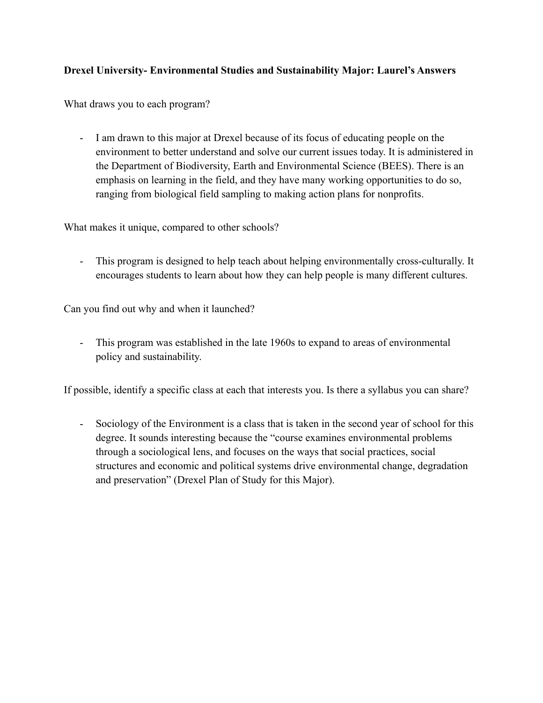### **Drexel University- Environmental Studies and Sustainability Major: Laurel's Answers**

What draws you to each program?

- I am drawn to this major at Drexel because of its focus of educating people on the environment to better understand and solve our current issues today. It is administered in the Department of Biodiversity, Earth and Environmental Science (BEES). There is an emphasis on learning in the field, and they have many working opportunities to do so, ranging from biological field sampling to making action plans for nonprofits.

What makes it unique, compared to other schools?

This program is designed to help teach about helping environmentally cross-culturally. It encourages students to learn about how they can help people is many different cultures.

Can you find out why and when it launched?

- This program was established in the late 1960s to expand to areas of environmental policy and sustainability.

If possible, identify a specific class at each that interests you. Is there a syllabus you can share?

- Sociology of the Environment is a class that is taken in the second year of school for this degree. It sounds interesting because the "course examines environmental problems through a sociological lens, and focuses on the ways that social practices, social structures and economic and political systems drive environmental change, degradation and preservation" (Drexel Plan of Study for this Major).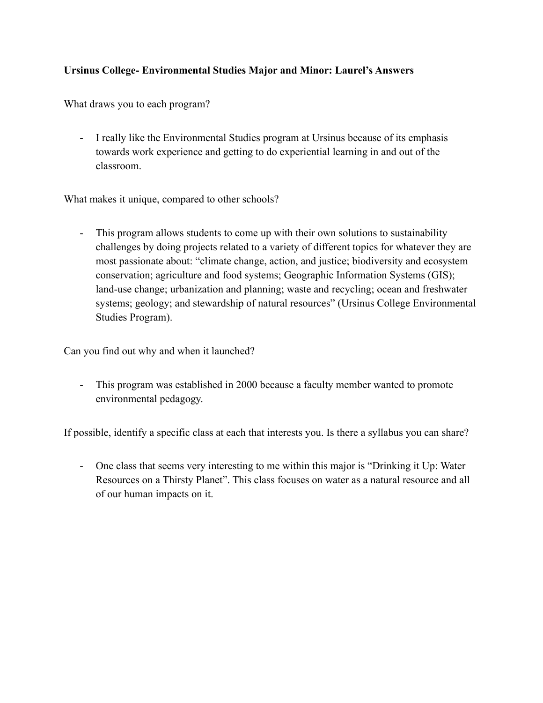# **Ursinus College- Environmental Studies Major and Minor: Laurel's Answers**

What draws you to each program?

- I really like the Environmental Studies program at Ursinus because of its emphasis towards work experience and getting to do experiential learning in and out of the classroom.

What makes it unique, compared to other schools?

- This program allows students to come up with their own solutions to sustainability challenges by doing projects related to a variety of different topics for whatever they are most passionate about: "climate change, action, and justice; biodiversity and ecosystem conservation; agriculture and food systems; Geographic Information Systems (GIS); land-use change; urbanization and planning; waste and recycling; ocean and freshwater systems; geology; and stewardship of natural resources" (Ursinus College Environmental Studies Program).

Can you find out why and when it launched?

- This program was established in 2000 because a faculty member wanted to promote environmental pedagogy.

If possible, identify a specific class at each that interests you. Is there a syllabus you can share?

- One class that seems very interesting to me within this major is "Drinking it Up: Water Resources on a Thirsty Planet". This class focuses on water as a natural resource and all of our human impacts on it.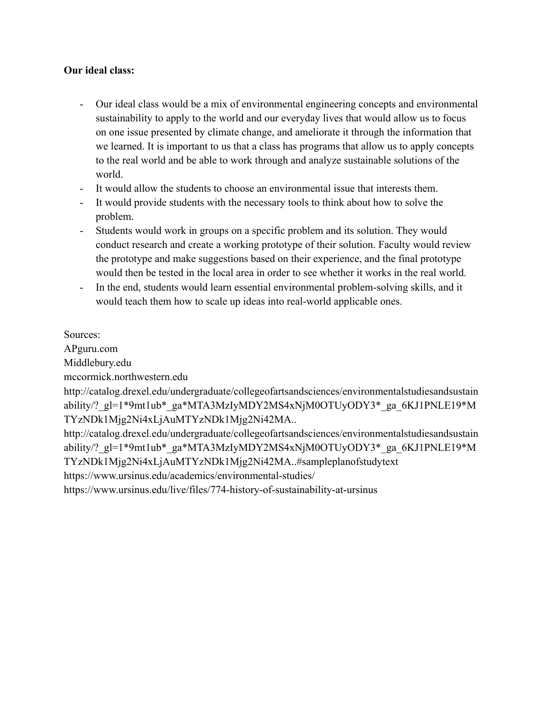#### **Our ideal class:**

- Our ideal class would be a mix of environmental engineering concepts and environmental sustainability to apply to the world and our everyday lives that would allow us to focus on one issue presented by climate change, and ameliorate it through the information that we learned. It is important to us that a class has programs that allow us to apply concepts to the real world and be able to work through and analyze sustainable solutions of the world.
- It would allow the students to choose an environmental issue that interests them.
- It would provide students with the necessary tools to think about how to solve the problem.
- Students would work in groups on a specific problem and its solution. They would conduct research and create a working prototype of their solution. Faculty would review the prototype and make suggestions based on their experience, and the final prototype would then be tested in the local area in order to see whether it works in the real world.
- In the end, students would learn essential environmental problem-solving skills, and it would teach them how to scale up ideas into real-world applicable ones.

Sources:

APguru.com

Middlebury.edu

mccormick.northwestern.edu

http://catalog.drexel.edu/undergraduate/collegeofartsandsciences/environmentalstudiesandsustain ability/? gl=1\*9mt1ub\* ga\*MTA3MzIyMDY2MS4xNjM0OTUyODY3\* ga 6KJ1PNLE19\*M TYzNDk1Mjg2Ni4xLjAuMTYzNDk1Mjg2Ni42MA..

http://catalog.drexel.edu/undergraduate/collegeofartsandsciences/environmentalstudiesandsustain ability/? gl=1\*9mt1ub\* ga\*MTA3MzIyMDY2MS4xNjM0OTUyODY3\* ga 6KJ1PNLE19\*M TYzNDk1Mjg2Ni4xLjAuMTYzNDk1Mjg2Ni42MA..#sampleplanofstudytext

https://www.ursinus.edu/academics/environmental-studies/

https://www.ursinus.edu/live/files/774-history-of-sustainability-at-ursinus